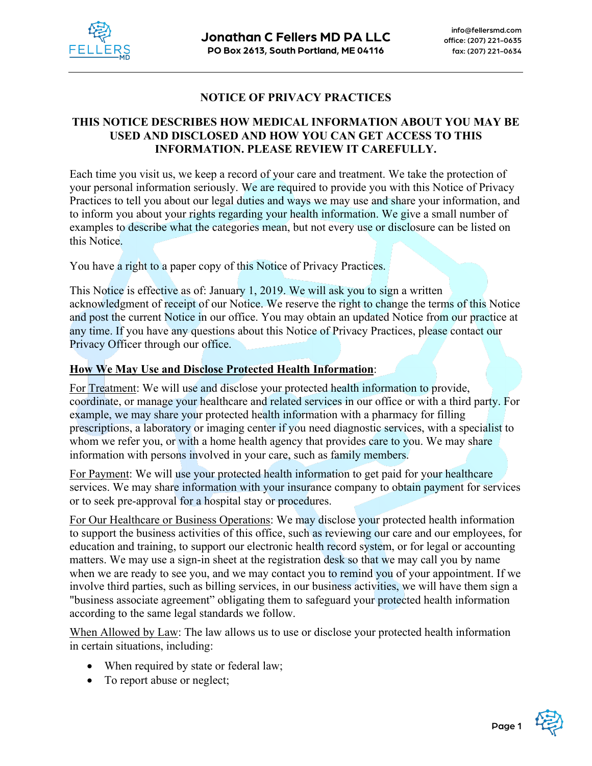

# **NOTICE OF PRIVACY PRACTICES**

# **THIS NOTICE DESCRIBES HOW MEDICAL INFORMATION ABOUT YOU MAY BE USED AND DISCLOSED AND HOW YOU CAN GET ACCESS TO THIS INFORMATION. PLEASE REVIEW IT CAREFULLY.**

Each time you visit us, we keep a record of your care and treatment. We take the protection of your personal information seriously. We are required to provide you with this Notice of Privacy Practices to tell you about our legal duties and ways we may use and share your information, and to inform you about your rights regarding your health information. We give a small number of examples to describe what the categories mean, but not every use or disclosure can be listed on this Notice.

You have a right to a paper copy of this Notice of Privacy Practices.

This Notice is effective as of: January 1, 2019. We will ask you to sign a written acknowledgment of receipt of our Notice. We reserve the right to change the terms of this Notice and post the current Notice in our office. You may obtain an updated Notice from our practice at any time. If you have any questions about this Notice of Privacy Practices, please contact our Privacy Officer through our office.

### **How We May Use and Disclose Protected Health Information**:

For Treatment: We will use and disclose your protected health information to provide, coordinate, or manage your healthcare and related services in our office or with a third party. For example, we may share your protected health information with a pharmacy for filling prescriptions, a laboratory or imaging center if you need diagnostic services, with a specialist to whom we refer you, or with a home health agency that provides care to you. We may share information with persons involved in your care, such as family members.

For Payment: We will use your protected health information to get paid for your healthcare services. We may share information with your insurance company to obtain payment for services or to seek pre-approval for a hospital stay or procedures.

For Our Healthcare or Business Operations: We may disclose your protected health information to support the business activities of this office, such as reviewing our care and our employees, for education and training, to support our electronic health record system, or for legal or accounting matters. We may use a sign-in sheet at the registration desk so that we may call you by name when we are ready to see you, and we may contact you to remind you of your appointment. If we involve third parties, such as billing services, in our business activities, we will have them sign a "business associate agreement" obligating them to safeguard your protected health information according to the same legal standards we follow.

When Allowed by Law: The law allows us to use or disclose your protected health information in certain situations, including:

- When required by state or federal law;
- To report abuse or neglect;

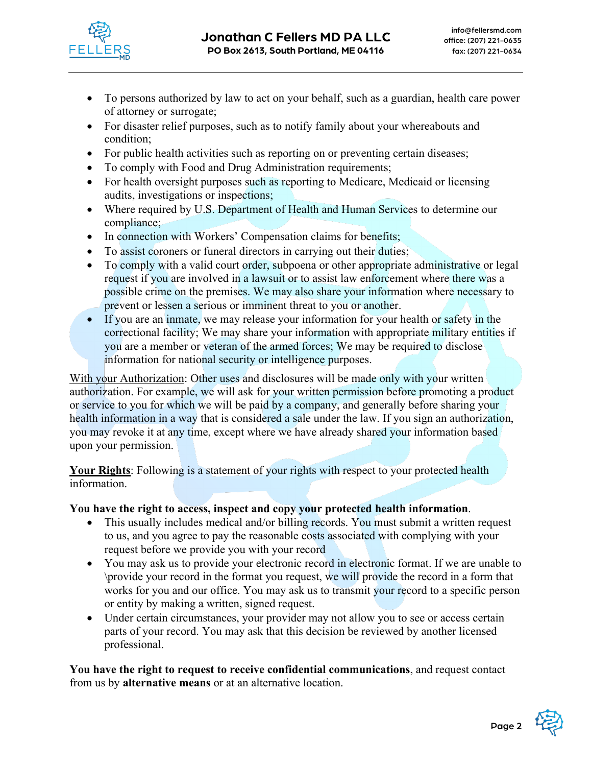

- To persons authorized by law to act on your behalf, such as a guardian, health care power of attorney or surrogate;
- For disaster relief purposes, such as to notify family about your whereabouts and condition;
- For public health activities such as reporting on or preventing certain diseases;
- To comply with Food and Drug Administration requirements;
- For health oversight purposes such as reporting to Medicare, Medicaid or licensing audits, investigations or inspections;
- Where required by U.S. Department of Health and Human Services to determine our compliance;
- In connection with Workers' Compensation claims for benefits;
- To assist coroners or funeral directors in carrying out their duties;
- To comply with a valid court order, subpoena or other appropriate administrative or legal request if you are involved in a lawsuit or to assist law enforcement where there was a possible crime on the premises. We may also share your information where necessary to prevent or lessen a serious or imminent threat to you or another.
- If you are an inmate, we may release your information for your health or safety in the correctional facility; We may share your information with appropriate military entities if you are a member or veteran of the armed forces; We may be required to disclose information for national security or intelligence purposes.

With your Authorization: Other uses and disclosures will be made only with your written authorization. For example, we will ask for your written permission before promoting a product or service to you for which we will be paid by a company, and generally before sharing your health information in a way that is considered a sale under the law. If you sign an authorization, you may revoke it at any time, except where we have already shared your information based upon your permission.

**Your Rights**: Following is a statement of your rights with respect to your protected health information.

# **You have the right to access, inspect and copy your protected health information**.

- This usually includes medical and/or billing records. You must submit a written request to us, and you agree to pay the reasonable costs associated with complying with your request before we provide you with your record
- You may ask us to provide your electronic record in electronic format. If we are unable to \provide your record in the format you request, we will provide the record in a form that works for you and our office. You may ask us to transmit your record to a specific person or entity by making a written, signed request.
- Under certain circumstances, your provider may not allow you to see or access certain parts of your record. You may ask that this decision be reviewed by another licensed professional.

**You have the right to request to receive confidential communications**, and request contact from us by **alternative means** or at an alternative location.